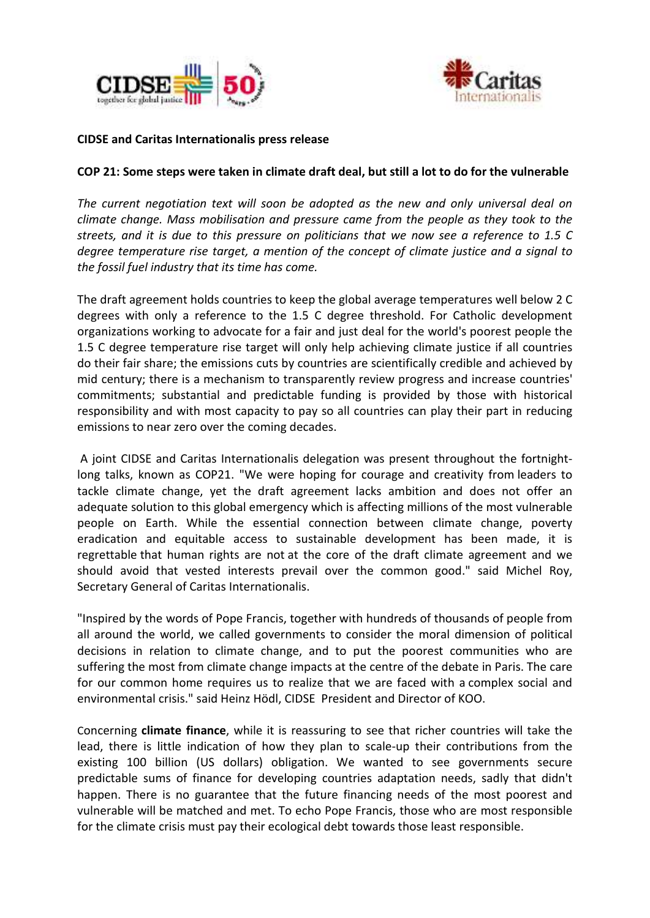



## **CIDSE and Caritas Internationalis press release**

## **COP 21: Some steps were taken in climate draft deal, but still a lot to do for the vulnerable**

*The current negotiation text will soon be adopted as the new and only universal deal on climate change. Mass mobilisation and pressure came from the people as they took to the streets, and it is due to this pressure on politicians that we now see a reference to 1.5 C degree temperature rise target, a mention of the concept of climate justice and a signal to the fossil fuel industry that its time has come.*

The draft agreement holds countries to keep the global average temperatures well below 2 C degrees with only a reference to the 1.5 C degree threshold. For Catholic development organizations working to advocate for a fair and just deal for the world's poorest people the 1.5 C degree temperature rise target will only help achieving climate justice if all countries do their fair share; the emissions cuts by countries are scientifically credible and achieved by mid century; there is a mechanism to transparently review progress and increase countries' commitments; substantial and predictable funding is provided by those with historical responsibility and with most capacity to pay so all countries can play their part in reducing emissions to near zero over the coming decades.

A joint CIDSE and Caritas Internationalis delegation was present throughout the fortnightlong talks, known as COP21. "We were hoping for courage and creativity from leaders to tackle climate change, yet the draft agreement lacks ambition and does not offer an adequate solution to this global emergency which is affecting millions of the most vulnerable people on Earth. While the essential connection between climate change, poverty eradication and equitable access to sustainable development has been made, it is regrettable that human rights are not at the core of the draft climate agreement and we should avoid that vested interests prevail over the common good." said Michel Roy, Secretary General of Caritas Internationalis.

"Inspired by the words of Pope Francis, together with hundreds of thousands of people from all around the world, we called governments to consider the moral dimension of political decisions in relation to climate change, and to put the poorest communities who are suffering the most from climate change impacts at the centre of the debate in Paris. The care for our common home requires us to realize that we are faced with a complex social and environmental crisis." said Heinz Hödl, CIDSE President and Director of KOO.

Concerning **climate finance**, while it is reassuring to see that richer countries will take the lead, there is little indication of how they plan to scale-up their contributions from the existing 100 billion (US dollars) obligation. We wanted to see governments secure predictable sums of finance for developing countries adaptation needs, sadly that didn't happen. There is no guarantee that the future financing needs of the most poorest and vulnerable will be matched and met. To echo Pope Francis, those who are most responsible for the climate crisis must pay their ecological debt towards those least responsible.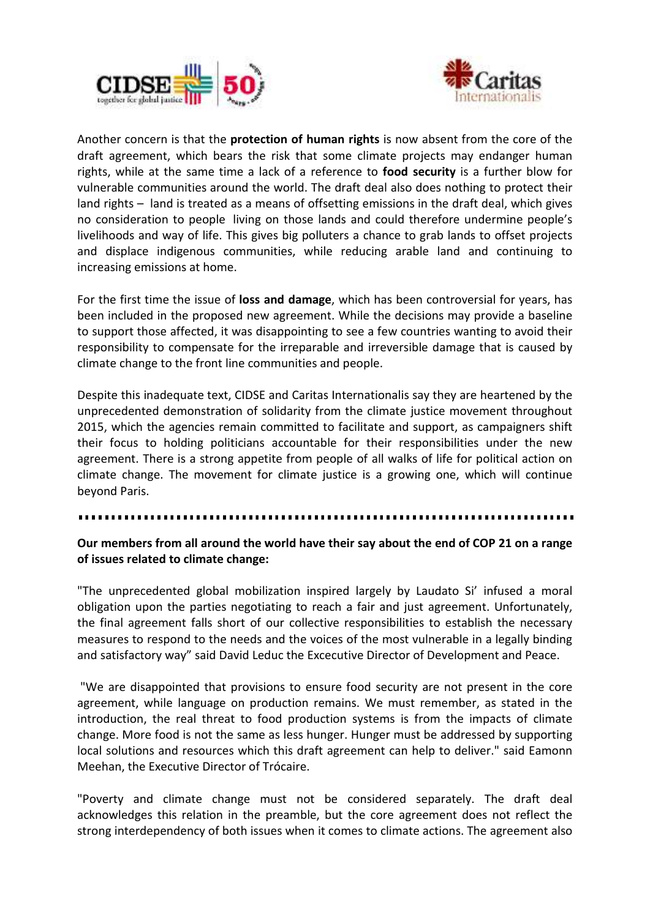



Another concern is that the **protection of human rights** is now absent from the core of the draft agreement, which bears the risk that some climate projects may endanger human rights, while at the same time a lack of a reference to **food security** is a further blow for vulnerable communities around the world. The draft deal also does nothing to protect their land rights – land is treated as a means of offsetting emissions in the draft deal, which gives no consideration to people living on those lands and could therefore undermine people's livelihoods and way of life. This gives big polluters a chance to grab lands to offset projects and displace indigenous communities, while reducing arable land and continuing to increasing emissions at home.

For the first time the issue of **loss and damage**, which has been controversial for years, has been included in the proposed new agreement. While the decisions may provide a baseline to support those affected, it was disappointing to see a few countries wanting to avoid their responsibility to compensate for the irreparable and irreversible damage that is caused by climate change to the front line communities and people.

Despite this inadequate text, CIDSE and Caritas Internationalis say they are heartened by the unprecedented demonstration of solidarity from the climate justice movement throughout 2015, which the agencies remain committed to facilitate and support, as campaigners shift their focus to holding politicians accountable for their responsibilities under the new agreement. There is a strong appetite from people of all walks of life for political action on climate change. The movement for climate justice is a growing one, which will continue beyond Paris.

## **Our members from all around the world have their say about the end of COP 21 on a range of issues related to climate change:**

"The unprecedented global mobilization inspired largely by Laudato Si' infused a moral obligation upon the parties negotiating to reach a fair and just agreement. Unfortunately, the final agreement falls short of our collective responsibilities to establish the necessary measures to respond to the needs and the voices of the most vulnerable in a legally binding and satisfactory way" said David Leduc the Excecutive Director of Development and Peace.

"We are disappointed that provisions to ensure food security are not present in the core agreement, while language on production remains. We must remember, as stated in the introduction, the real threat to food production systems is from the impacts of climate change. More food is not the same as less hunger. Hunger must be addressed by supporting local solutions and resources which this draft agreement can help to deliver." said Eamonn Meehan, the Executive Director of Trócaire.

"Poverty and climate change must not be considered separately. The draft deal acknowledges this relation in the preamble, but the core agreement does not reflect the strong interdependency of both issues when it comes to climate actions. The agreement also